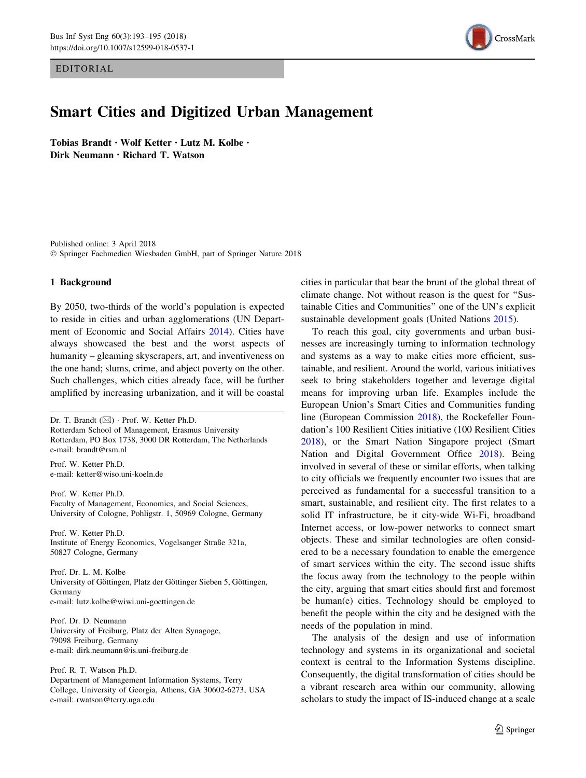EDITORIAL



# Smart Cities and Digitized Urban Management

Tobias Brandt • Wolf Ketter • Lutz M. Kolbe • Dirk Neumann • Richard T. Watson

Published online: 3 April 2018 - Springer Fachmedien Wiesbaden GmbH, part of Springer Nature 2018

## 1 Background

By 2050, two-thirds of the world's population is expected to reside in cities and urban agglomerations (UN Department of Economic and Social Affairs [2014\)](#page-2-0). Cities have always showcased the best and the worst aspects of humanity – gleaming skyscrapers, art, and inventiveness on the one hand; slums, crime, and abject poverty on the other. Such challenges, which cities already face, will be further amplified by increasing urbanization, and it will be coastal

Dr. T. Brandt (⊠) · Prof. W. Ketter Ph.D. Rotterdam School of Management, Erasmus University Rotterdam, PO Box 1738, 3000 DR Rotterdam, The Netherlands e-mail: brandt@rsm.nl

Prof. W. Ketter Ph.D. e-mail: ketter@wiso.uni-koeln.de

Prof. W. Ketter Ph.D. Faculty of Management, Economics, and Social Sciences, University of Cologne, Pohligstr. 1, 50969 Cologne, Germany

Prof. W. Ketter Ph.D. Institute of Energy Economics, Vogelsanger Straße 321a, 50827 Cologne, Germany

Prof. Dr. L. M. Kolbe University of Göttingen, Platz der Göttinger Sieben 5, Göttingen, Germany e-mail: lutz.kolbe@wiwi.uni-goettingen.de

Prof. Dr. D. Neumann University of Freiburg, Platz der Alten Synagoge, 79098 Freiburg, Germany e-mail: dirk.neumann@is.uni-freiburg.de

Prof. R. T. Watson Ph.D. Department of Management Information Systems, Terry College, University of Georgia, Athens, GA 30602-6273, USA e-mail: rwatson@terry.uga.edu

cities in particular that bear the brunt of the global threat of climate change. Not without reason is the quest for ''Sustainable Cities and Communities'' one of the UN's explicit sustainable development goals (United Nations [2015\)](#page-2-0).

To reach this goal, city governments and urban businesses are increasingly turning to information technology and systems as a way to make cities more efficient, sustainable, and resilient. Around the world, various initiatives seek to bring stakeholders together and leverage digital means for improving urban life. Examples include the European Union's Smart Cities and Communities funding line (European Commission [2018](#page-1-0)), the Rockefeller Foundation's 100 Resilient Cities initiative (100 Resilient Cities [2018](#page-1-0)), or the Smart Nation Singapore project (Smart Nation and Digital Government Office [2018](#page-2-0)). Being involved in several of these or similar efforts, when talking to city officials we frequently encounter two issues that are perceived as fundamental for a successful transition to a smart, sustainable, and resilient city. The first relates to a solid IT infrastructure, be it city-wide Wi-Fi, broadband Internet access, or low-power networks to connect smart objects. These and similar technologies are often considered to be a necessary foundation to enable the emergence of smart services within the city. The second issue shifts the focus away from the technology to the people within the city, arguing that smart cities should first and foremost be human(e) cities. Technology should be employed to benefit the people within the city and be designed with the needs of the population in mind.

The analysis of the design and use of information technology and systems in its organizational and societal context is central to the Information Systems discipline. Consequently, the digital transformation of cities should be a vibrant research area within our community, allowing scholars to study the impact of IS-induced change at a scale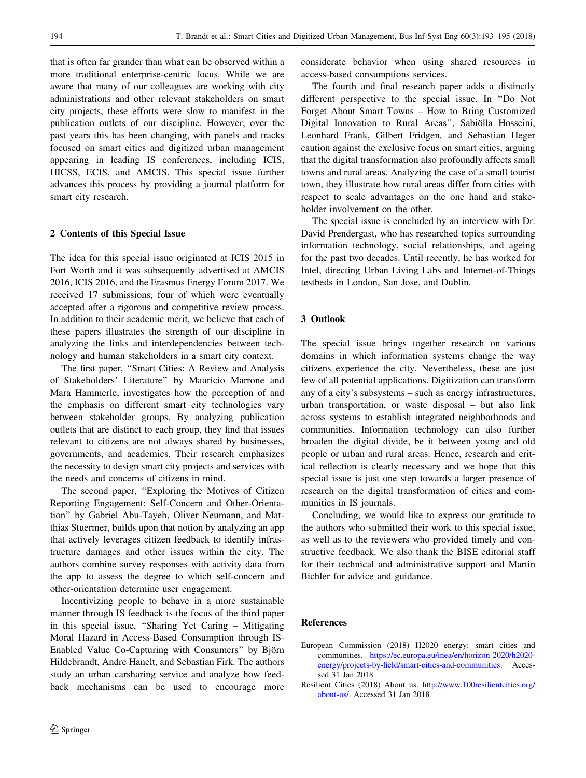<span id="page-1-0"></span>that is often far grander than what can be observed within a more traditional enterprise-centric focus. While we are aware that many of our colleagues are working with city administrations and other relevant stakeholders on smart city projects, these efforts were slow to manifest in the publication outlets of our discipline. However, over the past years this has been changing, with panels and tracks focused on smart cities and digitized urban management appearing in leading IS conferences, including ICIS, HICSS, ECIS, and AMCIS. This special issue further advances this process by providing a journal platform for smart city research.

#### 2 Contents of this Special Issue

The idea for this special issue originated at ICIS 2015 in Fort Worth and it was subsequently advertised at AMCIS 2016, ICIS 2016, and the Erasmus Energy Forum 2017. We received 17 submissions, four of which were eventually accepted after a rigorous and competitive review process. In addition to their academic merit, we believe that each of these papers illustrates the strength of our discipline in analyzing the links and interdependencies between technology and human stakeholders in a smart city context.

The first paper, ''Smart Cities: A Review and Analysis of Stakeholders' Literature'' by Mauricio Marrone and Mara Hammerle, investigates how the perception of and the emphasis on different smart city technologies vary between stakeholder groups. By analyzing publication outlets that are distinct to each group, they find that issues relevant to citizens are not always shared by businesses, governments, and academics. Their research emphasizes the necessity to design smart city projects and services with the needs and concerns of citizens in mind.

The second paper, "Exploring the Motives of Citizen Reporting Engagement: Self-Concern and Other-Orientation'' by Gabriel Abu-Tayeh, Oliver Neumann, and Matthias Stuermer, builds upon that notion by analyzing an app that actively leverages citizen feedback to identify infrastructure damages and other issues within the city. The authors combine survey responses with activity data from the app to assess the degree to which self-concern and other-orientation determine user engagement.

Incentivizing people to behave in a more sustainable manner through IS feedback is the focus of the third paper in this special issue, ''Sharing Yet Caring – Mitigating Moral Hazard in Access-Based Consumption through IS-Enabled Value Co-Capturing with Consumers" by Björn Hildebrandt, Andre Hanelt, and Sebastian Firk. The authors study an urban carsharing service and analyze how feedback mechanisms can be used to encourage more

considerate behavior when using shared resources in access-based consumptions services.

The fourth and final research paper adds a distinctly different perspective to the special issue. In ''Do Not Forget About Smart Towns – How to Bring Customized Digital Innovation to Rural Areas", Sabiölla Hosseini, Leonhard Frank, Gilbert Fridgen, and Sebastian Heger caution against the exclusive focus on smart cities, arguing that the digital transformation also profoundly affects small towns and rural areas. Analyzing the case of a small tourist town, they illustrate how rural areas differ from cities with respect to scale advantages on the one hand and stakeholder involvement on the other.

The special issue is concluded by an interview with Dr. David Prendergast, who has researched topics surrounding information technology, social relationships, and ageing for the past two decades. Until recently, he has worked for Intel, directing Urban Living Labs and Internet-of-Things testbeds in London, San Jose, and Dublin.

### 3 Outlook

The special issue brings together research on various domains in which information systems change the way citizens experience the city. Nevertheless, these are just few of all potential applications. Digitization can transform any of a city's subsystems – such as energy infrastructures, urban transportation, or waste disposal – but also link across systems to establish integrated neighborhoods and communities. Information technology can also further broaden the digital divide, be it between young and old people or urban and rural areas. Hence, research and critical reflection is clearly necessary and we hope that this special issue is just one step towards a larger presence of research on the digital transformation of cities and communities in IS journals.

Concluding, we would like to express our gratitude to the authors who submitted their work to this special issue, as well as to the reviewers who provided timely and constructive feedback. We also thank the BISE editorial staff for their technical and administrative support and Martin Bichler for advice and guidance.

## References

- European Commission (2018) H2020 energy: smart cities and communities. [https://ec.europa.eu/inea/en/horizon-2020/h2020](https://ec.europa.eu/inea/en/horizon-2020/h2020-energy/projects-by-field/smart-cities-and-communities) [energy/projects-by-field/smart-cities-and-communities.](https://ec.europa.eu/inea/en/horizon-2020/h2020-energy/projects-by-field/smart-cities-and-communities) Accessed 31 Jan 2018
- Resilient Cities (2018) About us. [http://www.100resilientcities.org/](http://www.100resilientcities.org/about-us/) [about-us/.](http://www.100resilientcities.org/about-us/) Accessed 31 Jan 2018